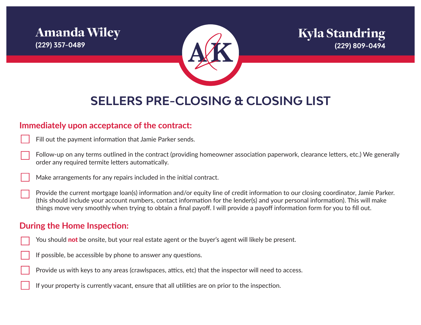## Amanda Wiley **(229) 357-0489**



## Kyla Standring **(229) 809-0494**

# **SELLERS PRE-CLOSING & CLOSING LIST**

#### **Immediately upon acceptance of the contract:**

|  |  | Fill out the payment information that Jamie Parker sends. |  |  |  |  |  |
|--|--|-----------------------------------------------------------|--|--|--|--|--|
|--|--|-----------------------------------------------------------|--|--|--|--|--|

Follow-up on any terms outlined in the contract (providing homeowner association paperwork, clearance letters, etc.) We generally order any required termite letters automatically.

Make arrangements for any repairs included in the initial contract.

Provide the current mortgage loan(s) information and/or equity line of credit information to our closing coordinator, Jamie Parker. (this should include your account numbers, contact information for the lender(s) and your personal information). This will make things move very smoothly when trying to obtain a final payoff. I will provide a payoff information form for you to fill out.

#### **During the Home Inspection:**

- You should not be onsite, but your real estate agent or the buyer's agent will likely be present.
- If possible, be accessible by phone to answer any questions.

Provide us with keys to any areas (crawlspaces, attics, etc) that the inspector will need to access.

If your property is currently vacant, ensure that all utilities are on prior to the inspection.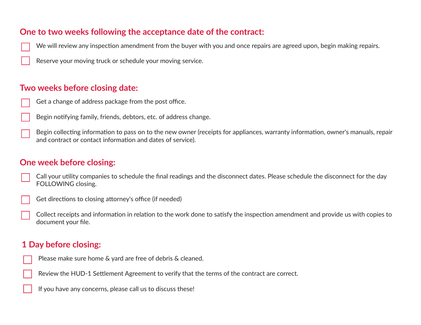#### **One to two weeks following the acceptance date of the contract:**

We will review any inspection amendment from the buyer with you and once repairs are agreed upon, begin making repairs.

Reserve your moving truck or schedule your moving service.

#### **Two weeks before closing date:**

- Get a change of address package from the post office.
- Begin notifying family, friends, debtors, etc. of address change.
- Begin collecting information to pass on to the new owner (receipts for appliances, warranty information, owner's manuals, repair and contract or contact information and dates of service).

#### **One week before closing:**

- Call your utility companies to schedule the final readings and the disconnect dates. Please schedule the disconnect for the day FOLLOWING closing.
	- Get directions to closing attorney's office (if needed)
- Collect receipts and information in relation to the work done to satisfy the inspection amendment and provide us with copies to document your file.

#### **1 Day before closing:**



Review the HUD-1 Settlement Agreement to verify that the terms of the contract are correct.

If you have any concerns, please call us to discuss these!